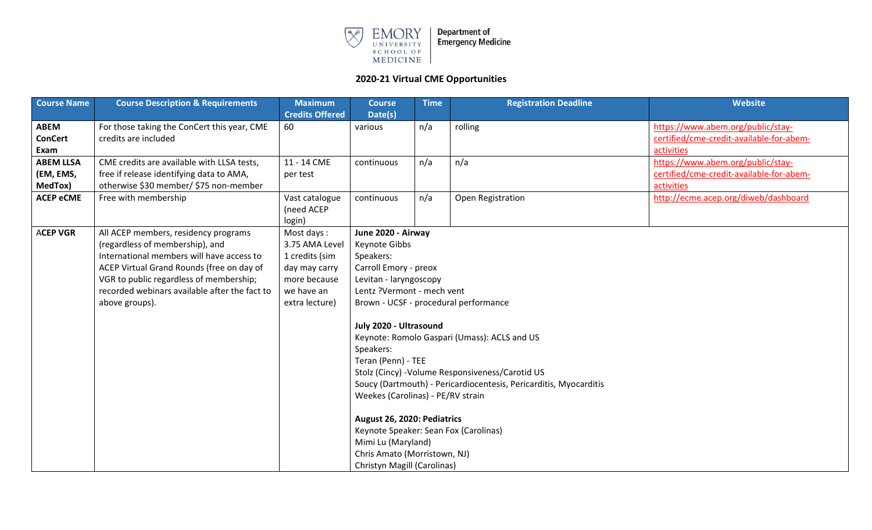

| <b>Course Name</b> | <b>Course Description &amp; Requirements</b>  | <b>Maximum</b>         | <b>Course</b>                         | <b>Time</b> | <b>Registration Deadline</b>                                      | <b>Website</b>                           |
|--------------------|-----------------------------------------------|------------------------|---------------------------------------|-------------|-------------------------------------------------------------------|------------------------------------------|
|                    |                                               | <b>Credits Offered</b> | Date(s)                               |             |                                                                   |                                          |
| <b>ABEM</b>        | For those taking the ConCert this year, CME   | 60                     | various                               | n/a         | rolling                                                           | https://www.abem.org/public/stay-        |
| <b>ConCert</b>     | credits are included                          |                        |                                       |             |                                                                   | certified/cme-credit-available-for-abem- |
| Exam               |                                               |                        |                                       |             |                                                                   | activities                               |
| <b>ABEM LLSA</b>   | CME credits are available with LLSA tests,    | 11 - 14 CME            | continuous                            | n/a         | n/a                                                               | https://www.abem.org/public/stay-        |
| (EM, EMS,          | free if release identifying data to AMA,      | per test               |                                       |             |                                                                   | certified/cme-credit-available-for-abem- |
| MedTox)            | otherwise \$30 member/ \$75 non-member        |                        |                                       |             |                                                                   | activities                               |
| <b>ACEP eCME</b>   | Free with membership                          | Vast catalogue         | continuous                            | n/a         | Open Registration                                                 | http://ecme.acep.org/diweb/dashboard     |
|                    |                                               | (need ACEP             |                                       |             |                                                                   |                                          |
|                    |                                               | login)                 |                                       |             |                                                                   |                                          |
| <b>ACEP VGR</b>    | All ACEP members, residency programs          | Most days:             | June 2020 - Airway                    |             |                                                                   |                                          |
|                    | (regardless of membership), and               | 3.75 AMA Level         | Keynote Gibbs                         |             |                                                                   |                                          |
|                    | International members will have access to     | 1 credits (sim         | Speakers:                             |             |                                                                   |                                          |
|                    | ACEP Virtual Grand Rounds (free on day of     | day may carry          | Carroll Emory - preox                 |             |                                                                   |                                          |
|                    | VGR to public regardless of membership;       | more because           | Levitan - laryngoscopy                |             |                                                                   |                                          |
|                    | recorded webinars available after the fact to | we have an             | Lentz ?Vermont - mech vent            |             |                                                                   |                                          |
|                    | above groups).                                | extra lecture)         |                                       |             | Brown - UCSF - procedural performance                             |                                          |
|                    |                                               |                        |                                       |             |                                                                   |                                          |
|                    |                                               |                        | July 2020 - Ultrasound                |             |                                                                   |                                          |
|                    |                                               |                        |                                       |             | Keynote: Romolo Gaspari (Umass): ACLS and US                      |                                          |
|                    |                                               |                        | Speakers:                             |             |                                                                   |                                          |
|                    |                                               |                        | Teran (Penn) - TEE                    |             |                                                                   |                                          |
|                    |                                               |                        |                                       |             | Stolz (Cincy) - Volume Responsiveness/Carotid US                  |                                          |
|                    |                                               |                        |                                       |             | Soucy (Dartmouth) - Pericardiocentesis, Pericarditis, Myocarditis |                                          |
|                    |                                               |                        | Weekes (Carolinas) - PE/RV strain     |             |                                                                   |                                          |
|                    |                                               |                        |                                       |             |                                                                   |                                          |
|                    |                                               |                        | August 26, 2020: Pediatrics           |             |                                                                   |                                          |
|                    |                                               |                        | Keynote Speaker: Sean Fox (Carolinas) |             |                                                                   |                                          |
|                    |                                               |                        | Mimi Lu (Maryland)                    |             |                                                                   |                                          |
|                    |                                               |                        | Chris Amato (Morristown, NJ)          |             |                                                                   |                                          |
|                    |                                               |                        | Christyn Magill (Carolinas)           |             |                                                                   |                                          |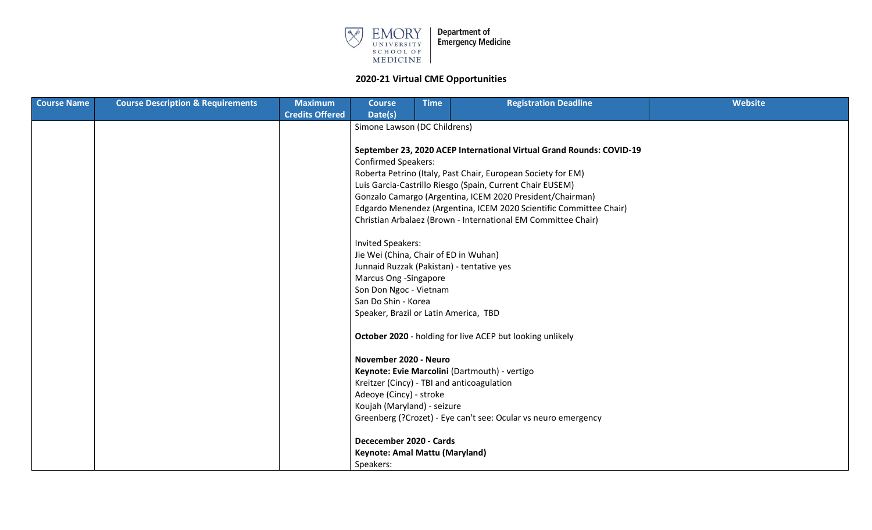

| <b>Course Name</b> | <b>Course Description &amp; Requirements</b> | <b>Maximum</b>               | <b>Course</b>                                                        | <b>Time</b> | <b>Registration Deadline</b>                                   | Website |  |  |  |  |  |
|--------------------|----------------------------------------------|------------------------------|----------------------------------------------------------------------|-------------|----------------------------------------------------------------|---------|--|--|--|--|--|
|                    |                                              | <b>Credits Offered</b>       | Date(s)                                                              |             |                                                                |         |  |  |  |  |  |
|                    |                                              | Simone Lawson (DC Childrens) |                                                                      |             |                                                                |         |  |  |  |  |  |
|                    |                                              |                              |                                                                      |             |                                                                |         |  |  |  |  |  |
|                    |                                              |                              | September 23, 2020 ACEP International Virtual Grand Rounds: COVID-19 |             |                                                                |         |  |  |  |  |  |
|                    |                                              |                              | <b>Confirmed Speakers:</b>                                           |             |                                                                |         |  |  |  |  |  |
|                    |                                              |                              | Roberta Petrino (Italy, Past Chair, European Society for EM)         |             |                                                                |         |  |  |  |  |  |
|                    |                                              |                              | Luis Garcia-Castrillo Riesgo (Spain, Current Chair EUSEM)            |             |                                                                |         |  |  |  |  |  |
|                    |                                              |                              | Gonzalo Camargo (Argentina, ICEM 2020 President/Chairman)            |             |                                                                |         |  |  |  |  |  |
|                    |                                              |                              | Edgardo Menendez (Argentina, ICEM 2020 Scientific Committee Chair)   |             |                                                                |         |  |  |  |  |  |
|                    |                                              |                              |                                                                      |             | Christian Arbalaez (Brown - International EM Committee Chair)  |         |  |  |  |  |  |
|                    |                                              |                              | <b>Invited Speakers:</b>                                             |             |                                                                |         |  |  |  |  |  |
|                    |                                              |                              | Jie Wei (China, Chair of ED in Wuhan)                                |             |                                                                |         |  |  |  |  |  |
|                    |                                              |                              | Junnaid Ruzzak (Pakistan) - tentative yes                            |             |                                                                |         |  |  |  |  |  |
|                    |                                              |                              | Marcus Ong -Singapore                                                |             |                                                                |         |  |  |  |  |  |
|                    |                                              |                              | Son Don Ngoc - Vietnam                                               |             |                                                                |         |  |  |  |  |  |
|                    |                                              |                              | San Do Shin - Korea                                                  |             |                                                                |         |  |  |  |  |  |
|                    |                                              |                              | Speaker, Brazil or Latin America, TBD                                |             |                                                                |         |  |  |  |  |  |
|                    |                                              |                              |                                                                      |             | October 2020 - holding for live ACEP but looking unlikely      |         |  |  |  |  |  |
|                    |                                              |                              | November 2020 - Neuro                                                |             |                                                                |         |  |  |  |  |  |
|                    |                                              |                              |                                                                      |             | Keynote: Evie Marcolini (Dartmouth) - vertigo                  |         |  |  |  |  |  |
|                    |                                              |                              | Kreitzer (Cincy) - TBI and anticoagulation                           |             |                                                                |         |  |  |  |  |  |
|                    |                                              |                              | Adeoye (Cincy) - stroke                                              |             |                                                                |         |  |  |  |  |  |
|                    |                                              |                              | Koujah (Maryland) - seizure                                          |             |                                                                |         |  |  |  |  |  |
|                    |                                              |                              |                                                                      |             | Greenberg (?Crozet) - Eye can't see: Ocular vs neuro emergency |         |  |  |  |  |  |
|                    |                                              |                              | Dececember 2020 - Cards                                              |             |                                                                |         |  |  |  |  |  |
|                    |                                              |                              | Keynote: Amal Mattu (Maryland)                                       |             |                                                                |         |  |  |  |  |  |
|                    |                                              |                              | Speakers:                                                            |             |                                                                |         |  |  |  |  |  |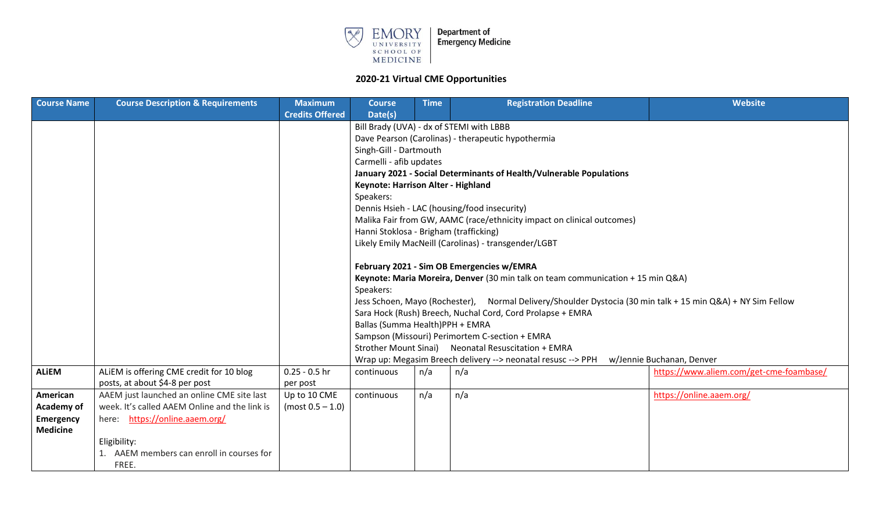

| <b>Course Name</b> | <b>Course Description &amp; Requirements</b>  | <b>Maximum</b>         | <b>Course</b>                                                                                               | <b>Time</b>                        | <b>Registration Deadline</b>                                                    | Website                                 |  |  |  |  |
|--------------------|-----------------------------------------------|------------------------|-------------------------------------------------------------------------------------------------------------|------------------------------------|---------------------------------------------------------------------------------|-----------------------------------------|--|--|--|--|
|                    |                                               | <b>Credits Offered</b> | Date(s)                                                                                                     |                                    |                                                                                 |                                         |  |  |  |  |
|                    |                                               |                        | Bill Brady (UVA) - dx of STEMI with LBBB                                                                    |                                    |                                                                                 |                                         |  |  |  |  |
|                    |                                               |                        | Dave Pearson (Carolinas) - therapeutic hypothermia                                                          |                                    |                                                                                 |                                         |  |  |  |  |
|                    |                                               |                        |                                                                                                             | Singh-Gill - Dartmouth             |                                                                                 |                                         |  |  |  |  |
|                    |                                               |                        | Carmelli - afib updates                                                                                     |                                    |                                                                                 |                                         |  |  |  |  |
|                    |                                               |                        | January 2021 - Social Determinants of Health/Vulnerable Populations                                         |                                    |                                                                                 |                                         |  |  |  |  |
|                    |                                               |                        |                                                                                                             | Keynote: Harrison Alter - Highland |                                                                                 |                                         |  |  |  |  |
|                    |                                               |                        | Speakers:                                                                                                   |                                    |                                                                                 |                                         |  |  |  |  |
|                    |                                               |                        |                                                                                                             |                                    | Dennis Hsieh - LAC (housing/food insecurity)                                    |                                         |  |  |  |  |
|                    |                                               |                        |                                                                                                             |                                    | Malika Fair from GW, AAMC (race/ethnicity impact on clinical outcomes)          |                                         |  |  |  |  |
|                    |                                               |                        | Hanni Stoklosa - Brigham (trafficking)                                                                      |                                    |                                                                                 |                                         |  |  |  |  |
|                    |                                               |                        |                                                                                                             |                                    | Likely Emily MacNeill (Carolinas) - transgender/LGBT                            |                                         |  |  |  |  |
|                    |                                               |                        | February 2021 - Sim OB Emergencies w/EMRA                                                                   |                                    |                                                                                 |                                         |  |  |  |  |
|                    |                                               |                        |                                                                                                             |                                    | Keynote: Maria Moreira, Denver (30 min talk on team communication + 15 min Q&A) |                                         |  |  |  |  |
|                    |                                               |                        | Speakers:                                                                                                   |                                    |                                                                                 |                                         |  |  |  |  |
|                    |                                               |                        | Jess Schoen, Mayo (Rochester), Normal Delivery/Shoulder Dystocia (30 min talk + 15 min Q&A) + NY Sim Fellow |                                    |                                                                                 |                                         |  |  |  |  |
|                    |                                               |                        |                                                                                                             |                                    | Sara Hock (Rush) Breech, Nuchal Cord, Cord Prolapse + EMRA                      |                                         |  |  |  |  |
|                    |                                               |                        | Ballas (Summa Health)PPH + EMRA                                                                             |                                    |                                                                                 |                                         |  |  |  |  |
|                    |                                               |                        |                                                                                                             |                                    | Sampson (Missouri) Perimortem C-section + EMRA                                  |                                         |  |  |  |  |
|                    |                                               |                        |                                                                                                             |                                    | Strother Mount Sinai) Neonatal Resuscitation + EMRA                             |                                         |  |  |  |  |
|                    |                                               |                        |                                                                                                             |                                    | Wrap up: Megasim Breech delivery --> neonatal resusc --> PPH                    | w/Jennie Buchanan, Denver               |  |  |  |  |
| <b>ALIEM</b>       | ALIEM is offering CME credit for 10 blog      | $0.25 - 0.5$ hr        | continuous                                                                                                  | n/a                                | n/a                                                                             | https://www.aliem.com/get-cme-foambase/ |  |  |  |  |
|                    | posts, at about \$4-8 per post                | per post               |                                                                                                             |                                    |                                                                                 |                                         |  |  |  |  |
| American           | AAEM just launched an online CME site last    | Up to 10 CME           | continuous                                                                                                  | n/a                                | n/a                                                                             | https://online.aaem.org/                |  |  |  |  |
| <b>Academy of</b>  | week. It's called AAEM Online and the link is | $(most 0.5 - 1.0)$     |                                                                                                             |                                    |                                                                                 |                                         |  |  |  |  |
| Emergency          | here: https://online.aaem.org/                |                        |                                                                                                             |                                    |                                                                                 |                                         |  |  |  |  |
| <b>Medicine</b>    |                                               |                        |                                                                                                             |                                    |                                                                                 |                                         |  |  |  |  |
|                    | Eligibility:                                  |                        |                                                                                                             |                                    |                                                                                 |                                         |  |  |  |  |
|                    | AAEM members can enroll in courses for        |                        |                                                                                                             |                                    |                                                                                 |                                         |  |  |  |  |
|                    | FREE.                                         |                        |                                                                                                             |                                    |                                                                                 |                                         |  |  |  |  |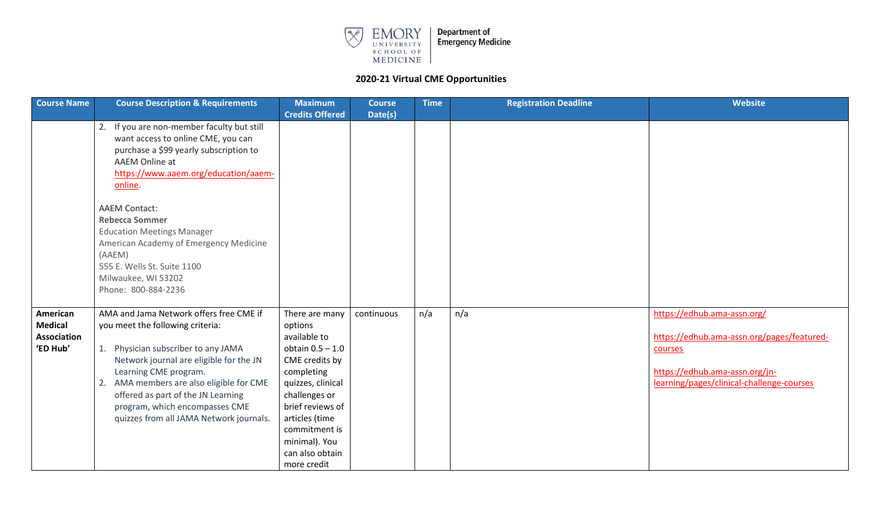

| <b>Course Name</b>                                           | <b>Course Description &amp; Requirements</b>                                                                                                                                                                                                                                                                                                                | <b>Maximum</b>                                                                                                                                                                                                                                  | <b>Course</b> | <b>Time</b> | <b>Registration Deadline</b> | Website                                                                                                                                                             |
|--------------------------------------------------------------|-------------------------------------------------------------------------------------------------------------------------------------------------------------------------------------------------------------------------------------------------------------------------------------------------------------------------------------------------------------|-------------------------------------------------------------------------------------------------------------------------------------------------------------------------------------------------------------------------------------------------|---------------|-------------|------------------------------|---------------------------------------------------------------------------------------------------------------------------------------------------------------------|
|                                                              |                                                                                                                                                                                                                                                                                                                                                             | <b>Credits Offered</b>                                                                                                                                                                                                                          | Date(s)       |             |                              |                                                                                                                                                                     |
|                                                              | If you are non-member faculty but still<br>2.<br>want access to online CME, you can<br>purchase a \$99 yearly subscription to<br>AAEM Online at<br>https://www.aaem.org/education/aaem-<br>online.                                                                                                                                                          |                                                                                                                                                                                                                                                 |               |             |                              |                                                                                                                                                                     |
|                                                              | <b>AAEM Contact:</b><br><b>Rebecca Sommer</b><br><b>Education Meetings Manager</b><br>American Academy of Emergency Medicine<br>(AAEM)<br>555 E. Wells St. Suite 1100<br>Milwaukee, WI 53202<br>Phone: 800-884-2236                                                                                                                                         |                                                                                                                                                                                                                                                 |               |             |                              |                                                                                                                                                                     |
| American<br><b>Medical</b><br><b>Association</b><br>'ED Hub' | AMA and Jama Network offers free CME if<br>you meet the following criteria:<br>Physician subscriber to any JAMA<br>1.<br>Network journal are eligible for the JN<br>Learning CME program.<br>AMA members are also eligible for CME<br>2.<br>offered as part of the JN Learning<br>program, which encompasses CME<br>quizzes from all JAMA Network journals. | There are many<br>options<br>available to<br>obtain $0.5 - 1.0$<br>CME credits by<br>completing<br>quizzes, clinical<br>challenges or<br>brief reviews of<br>articles (time<br>commitment is<br>minimal). You<br>can also obtain<br>more credit | continuous    | n/a         | n/a                          | https://edhub.ama-assn.org/<br>https://edhub.ama-assn.org/pages/featured-<br>courses<br>https://edhub.ama-assn.org/jn-<br>learning/pages/clinical-challenge-courses |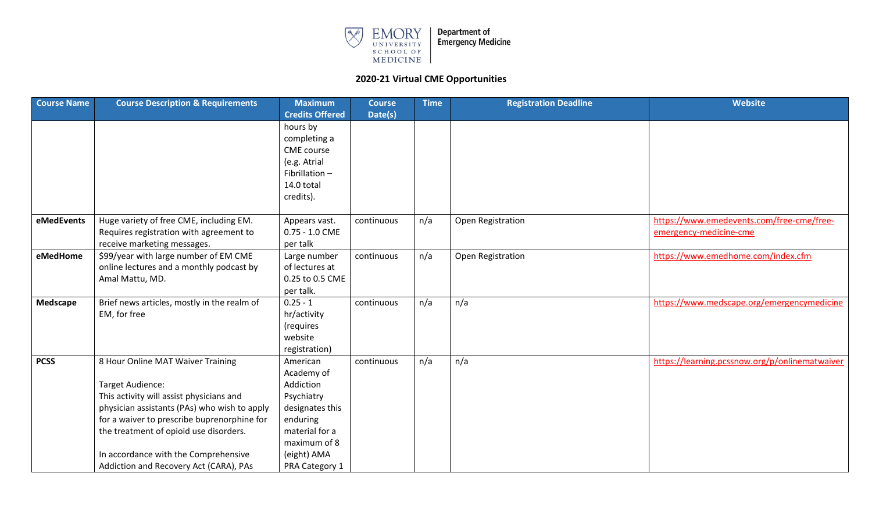

| <b>Course Name</b> | <b>Course Description &amp; Requirements</b> | <b>Maximum</b>           | <b>Course</b> | <b>Time</b> | <b>Registration Deadline</b> | Website                                        |
|--------------------|----------------------------------------------|--------------------------|---------------|-------------|------------------------------|------------------------------------------------|
|                    |                                              | <b>Credits Offered</b>   | Date(s)       |             |                              |                                                |
|                    |                                              | hours by<br>completing a |               |             |                              |                                                |
|                    |                                              | CME course               |               |             |                              |                                                |
|                    |                                              | (e.g. Atrial             |               |             |                              |                                                |
|                    |                                              | Fibrillation-            |               |             |                              |                                                |
|                    |                                              | 14.0 total               |               |             |                              |                                                |
|                    |                                              | credits).                |               |             |                              |                                                |
| eMedEvents         | Huge variety of free CME, including EM.      | Appears vast.            | continuous    | n/a         | Open Registration            | https://www.emedevents.com/free-cme/free-      |
|                    | Requires registration with agreement to      | $0.75 - 1.0$ CME         |               |             |                              | emergency-medicine-cme                         |
|                    | receive marketing messages.                  | per talk                 |               |             |                              |                                                |
| eMedHome           | \$99/year with large number of EM CME        | Large number             | continuous    | n/a         | Open Registration            | https://www.emedhome.com/index.cfm             |
|                    | online lectures and a monthly podcast by     | of lectures at           |               |             |                              |                                                |
|                    | Amal Mattu, MD.                              | 0.25 to 0.5 CME          |               |             |                              |                                                |
|                    |                                              | per talk.                |               |             |                              |                                                |
| Medscape           | Brief news articles, mostly in the realm of  | $0.25 - 1$               | continuous    | n/a         | n/a                          | https://www.medscape.org/emergencymedicine     |
|                    | EM, for free                                 | hr/activity              |               |             |                              |                                                |
|                    |                                              | (requires<br>website     |               |             |                              |                                                |
|                    |                                              | registration)            |               |             |                              |                                                |
| <b>PCSS</b>        | 8 Hour Online MAT Waiver Training            | American                 | continuous    | n/a         | n/a                          | https://learning.pcssnow.org/p/onlinematwaiver |
|                    |                                              | Academy of               |               |             |                              |                                                |
|                    | <b>Target Audience:</b>                      | Addiction                |               |             |                              |                                                |
|                    | This activity will assist physicians and     | Psychiatry               |               |             |                              |                                                |
|                    | physician assistants (PAs) who wish to apply | designates this          |               |             |                              |                                                |
|                    | for a waiver to prescribe buprenorphine for  | enduring                 |               |             |                              |                                                |
|                    | the treatment of opioid use disorders.       | material for a           |               |             |                              |                                                |
|                    |                                              | maximum of 8             |               |             |                              |                                                |
|                    | In accordance with the Comprehensive         | (eight) AMA              |               |             |                              |                                                |
|                    | Addiction and Recovery Act (CARA), PAs       | PRA Category 1           |               |             |                              |                                                |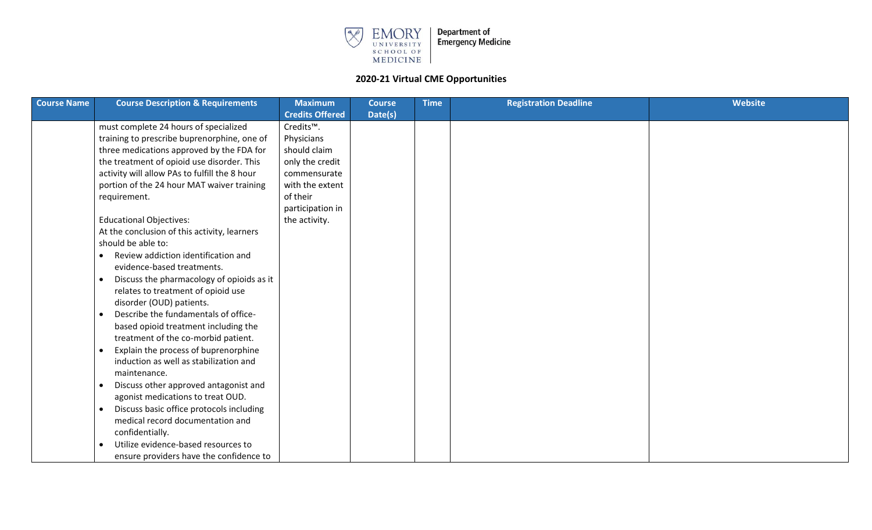

| <b>Course Name</b> | <b>Course Description &amp; Requirements</b>           | <b>Maximum</b>         | <b>Course</b> | <b>Time</b> | <b>Registration Deadline</b> | Website |
|--------------------|--------------------------------------------------------|------------------------|---------------|-------------|------------------------------|---------|
|                    |                                                        | <b>Credits Offered</b> | Date(s)       |             |                              |         |
|                    | must complete 24 hours of specialized                  | Credits <sup>™</sup> . |               |             |                              |         |
|                    | training to prescribe buprenorphine, one of            | Physicians             |               |             |                              |         |
|                    | three medications approved by the FDA for              | should claim           |               |             |                              |         |
|                    | the treatment of opioid use disorder. This             | only the credit        |               |             |                              |         |
|                    | activity will allow PAs to fulfill the 8 hour          | commensurate           |               |             |                              |         |
|                    | portion of the 24 hour MAT waiver training             | with the extent        |               |             |                              |         |
|                    | requirement.                                           | of their               |               |             |                              |         |
|                    |                                                        | participation in       |               |             |                              |         |
|                    | <b>Educational Objectives:</b>                         | the activity.          |               |             |                              |         |
|                    | At the conclusion of this activity, learners           |                        |               |             |                              |         |
|                    | should be able to:                                     |                        |               |             |                              |         |
|                    | Review addiction identification and<br>$\bullet$       |                        |               |             |                              |         |
|                    | evidence-based treatments.                             |                        |               |             |                              |         |
|                    | Discuss the pharmacology of opioids as it<br>$\bullet$ |                        |               |             |                              |         |
|                    | relates to treatment of opioid use                     |                        |               |             |                              |         |
|                    | disorder (OUD) patients.                               |                        |               |             |                              |         |
|                    | Describe the fundamentals of office-<br>$\bullet$      |                        |               |             |                              |         |
|                    | based opioid treatment including the                   |                        |               |             |                              |         |
|                    | treatment of the co-morbid patient.                    |                        |               |             |                              |         |
|                    | Explain the process of buprenorphine<br>$\bullet$      |                        |               |             |                              |         |
|                    | induction as well as stabilization and                 |                        |               |             |                              |         |
|                    | maintenance.                                           |                        |               |             |                              |         |
|                    | Discuss other approved antagonist and<br>$\bullet$     |                        |               |             |                              |         |
|                    | agonist medications to treat OUD.                      |                        |               |             |                              |         |
|                    | Discuss basic office protocols including<br>$\bullet$  |                        |               |             |                              |         |
|                    | medical record documentation and                       |                        |               |             |                              |         |
|                    | confidentially.                                        |                        |               |             |                              |         |
|                    | Utilize evidence-based resources to                    |                        |               |             |                              |         |
|                    | ensure providers have the confidence to                |                        |               |             |                              |         |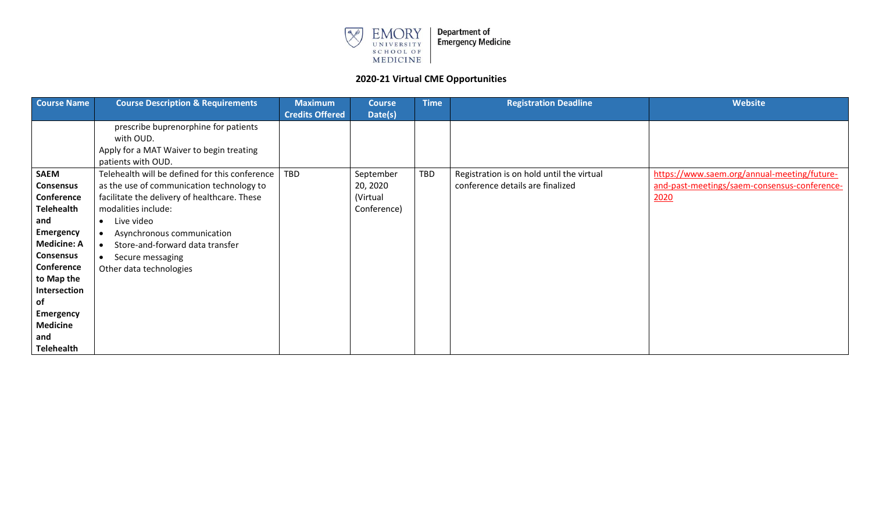

| <b>Course Name</b> | <b>Course Description &amp; Requirements</b>   | <b>Maximum</b>         | <b>Course</b> | <b>Time</b> | <b>Registration Deadline</b>              | <b>Website</b>                               |
|--------------------|------------------------------------------------|------------------------|---------------|-------------|-------------------------------------------|----------------------------------------------|
|                    |                                                | <b>Credits Offered</b> | Date(s)       |             |                                           |                                              |
|                    | prescribe buprenorphine for patients           |                        |               |             |                                           |                                              |
|                    | with OUD.                                      |                        |               |             |                                           |                                              |
|                    | Apply for a MAT Waiver to begin treating       |                        |               |             |                                           |                                              |
|                    | patients with OUD.                             |                        |               |             |                                           |                                              |
| <b>SAEM</b>        | Telehealth will be defined for this conference | TBD                    | September     | <b>TBD</b>  | Registration is on hold until the virtual | https://www.saem.org/annual-meeting/future-  |
| <b>Consensus</b>   | as the use of communication technology to      |                        | 20, 2020      |             | conference details are finalized          | and-past-meetings/saem-consensus-conference- |
| Conference         | facilitate the delivery of healthcare. These   |                        | (Virtual      |             |                                           | 2020                                         |
| <b>Telehealth</b>  | modalities include:                            |                        | Conference)   |             |                                           |                                              |
| and                | Live video<br>$\bullet$                        |                        |               |             |                                           |                                              |
| <b>Emergency</b>   | Asynchronous communication<br>$\bullet$        |                        |               |             |                                           |                                              |
| <b>Medicine: A</b> | Store-and-forward data transfer<br>$\bullet$   |                        |               |             |                                           |                                              |
| <b>Consensus</b>   | Secure messaging<br>$\bullet$                  |                        |               |             |                                           |                                              |
| Conference         | Other data technologies                        |                        |               |             |                                           |                                              |
| to Map the         |                                                |                        |               |             |                                           |                                              |
| Intersection       |                                                |                        |               |             |                                           |                                              |
| of                 |                                                |                        |               |             |                                           |                                              |
| <b>Emergency</b>   |                                                |                        |               |             |                                           |                                              |
| <b>Medicine</b>    |                                                |                        |               |             |                                           |                                              |
| and                |                                                |                        |               |             |                                           |                                              |
| <b>Telehealth</b>  |                                                |                        |               |             |                                           |                                              |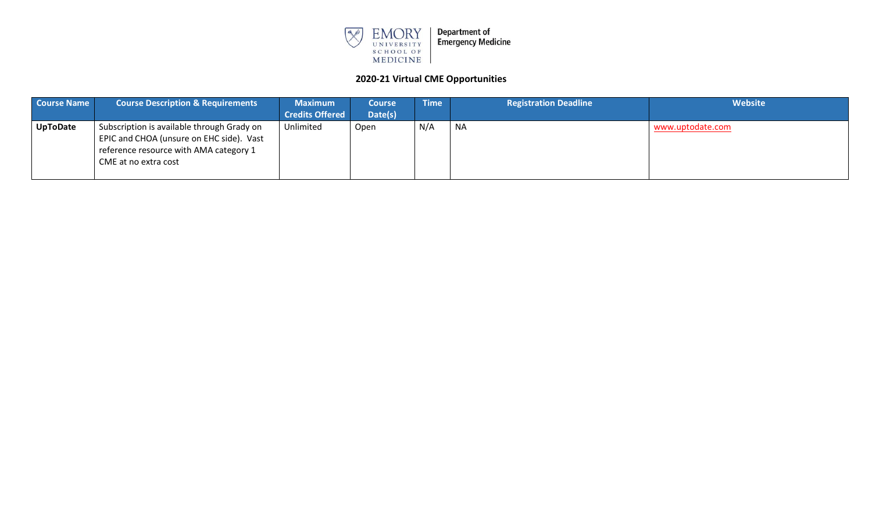

| <b>Course Name</b> | <b>Course Description &amp; Requirements</b>                                                                                                             | <b>Maximum</b>         | <b>Course</b> | Time | <b>Registration Deadline</b> | Website          |
|--------------------|----------------------------------------------------------------------------------------------------------------------------------------------------------|------------------------|---------------|------|------------------------------|------------------|
|                    |                                                                                                                                                          | <b>Credits Offered</b> | Date(s)       |      |                              |                  |
| <b>UpToDate</b>    | Subscription is available through Grady on<br>EPIC and CHOA (unsure on EHC side). Vast<br>reference resource with AMA category 1<br>CME at no extra cost | Unlimited              | Open          | N/A  | <b>NA</b>                    | www.uptodate.com |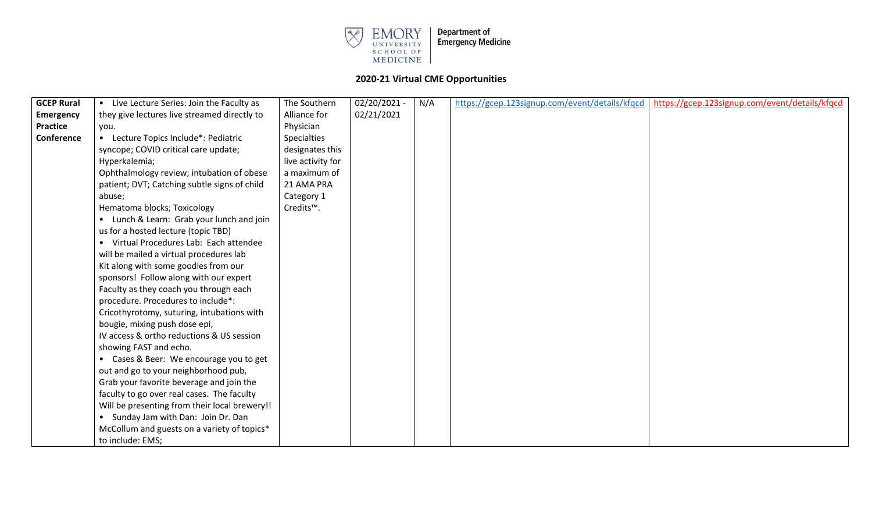

| <b>GCEP Rural</b> | • Live Lecture Series: Join the Faculty as    | The Southern           | 02/20/2021 - | N/A | https://gcep.123signup.com/event/details/kfqcd | https://gcep.123signup.com/event/details/kfqcd |
|-------------------|-----------------------------------------------|------------------------|--------------|-----|------------------------------------------------|------------------------------------------------|
| <b>Emergency</b>  | they give lectures live streamed directly to  | Alliance for           | 02/21/2021   |     |                                                |                                                |
| <b>Practice</b>   | you.                                          | Physician              |              |     |                                                |                                                |
| Conference        | • Lecture Topics Include*: Pediatric          | <b>Specialties</b>     |              |     |                                                |                                                |
|                   | syncope; COVID critical care update;          | designates this        |              |     |                                                |                                                |
|                   | Hyperkalemia;                                 | live activity for      |              |     |                                                |                                                |
|                   | Ophthalmology review; intubation of obese     | a maximum of           |              |     |                                                |                                                |
|                   | patient; DVT; Catching subtle signs of child  | 21 AMA PRA             |              |     |                                                |                                                |
|                   | abuse;                                        | Category 1             |              |     |                                                |                                                |
|                   | Hematoma blocks; Toxicology                   | Credits <sup>™</sup> . |              |     |                                                |                                                |
|                   | • Lunch & Learn: Grab your lunch and join     |                        |              |     |                                                |                                                |
|                   | us for a hosted lecture (topic TBD)           |                        |              |     |                                                |                                                |
|                   | • Virtual Procedures Lab: Each attendee       |                        |              |     |                                                |                                                |
|                   | will be mailed a virtual procedures lab       |                        |              |     |                                                |                                                |
|                   | Kit along with some goodies from our          |                        |              |     |                                                |                                                |
|                   | sponsors! Follow along with our expert        |                        |              |     |                                                |                                                |
|                   | Faculty as they coach you through each        |                        |              |     |                                                |                                                |
|                   | procedure. Procedures to include*:            |                        |              |     |                                                |                                                |
|                   | Cricothyrotomy, suturing, intubations with    |                        |              |     |                                                |                                                |
|                   | bougie, mixing push dose epi,                 |                        |              |     |                                                |                                                |
|                   | IV access & ortho reductions & US session     |                        |              |     |                                                |                                                |
|                   | showing FAST and echo.                        |                        |              |     |                                                |                                                |
|                   | • Cases & Beer: We encourage you to get       |                        |              |     |                                                |                                                |
|                   | out and go to your neighborhood pub,          |                        |              |     |                                                |                                                |
|                   | Grab your favorite beverage and join the      |                        |              |     |                                                |                                                |
|                   | faculty to go over real cases. The faculty    |                        |              |     |                                                |                                                |
|                   | Will be presenting from their local brewery!! |                        |              |     |                                                |                                                |
|                   | • Sunday Jam with Dan: Join Dr. Dan           |                        |              |     |                                                |                                                |
|                   | McCollum and guests on a variety of topics*   |                        |              |     |                                                |                                                |
|                   | to include: EMS;                              |                        |              |     |                                                |                                                |